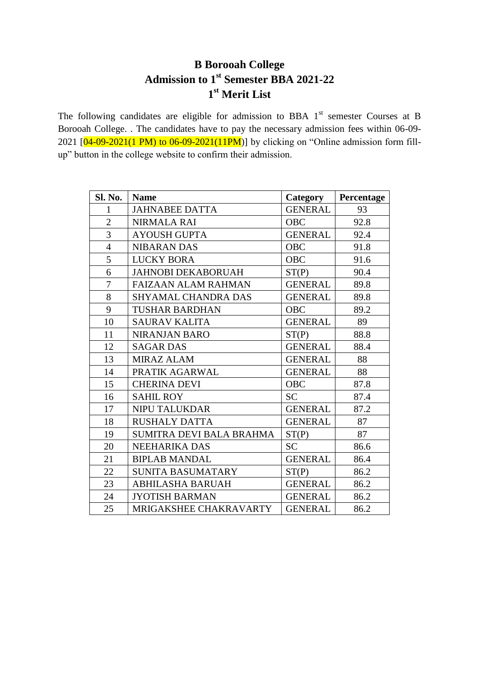# **B Borooah College Admission to 1st Semester BBA 2021-22 st Merit List**

The following candidates are eligible for admission to BBA  $1<sup>st</sup>$  semester Courses at B Borooah College. . The candidates have to pay the necessary admission fees within 06-09- 2021  $[04-09-2021(1 \text{ PM})$  to  $06-09-2021(11 \text{ PM})]$  by clicking on "Online admission form fillup" button in the college website to confirm their admission.

| Sl. No.        | <b>Name</b>                | <b>Category</b> | Percentage |
|----------------|----------------------------|-----------------|------------|
| $\mathbf{1}$   | <b>JAHNABEE DATTA</b>      | <b>GENERAL</b>  | 93         |
| $\overline{2}$ | <b>NIRMALA RAI</b>         | <b>OBC</b>      | 92.8       |
| 3              | <b>AYOUSH GUPTA</b>        | <b>GENERAL</b>  | 92.4       |
| $\overline{4}$ | <b>NIBARAN DAS</b>         | <b>OBC</b>      | 91.8       |
| 5              | <b>LUCKY BORA</b>          | <b>OBC</b>      | 91.6       |
| 6              | <b>JAHNOBI DEKABORUAH</b>  | ST(P)           | 90.4       |
| 7              | <b>FAIZAAN ALAM RAHMAN</b> | <b>GENERAL</b>  | 89.8       |
| 8              | <b>SHYAMAL CHANDRA DAS</b> | <b>GENERAL</b>  | 89.8       |
| 9              | <b>TUSHAR BARDHAN</b>      | <b>OBC</b>      | 89.2       |
| 10             | <b>SAURAV KALITA</b>       | <b>GENERAL</b>  | 89         |
| 11             | <b>NIRANJAN BARO</b>       | ST(P)           | 88.8       |
| 12             | <b>SAGAR DAS</b>           | <b>GENERAL</b>  | 88.4       |
| 13             | <b>MIRAZ ALAM</b>          | <b>GENERAL</b>  | 88         |
| 14             | PRATIK AGARWAL             | <b>GENERAL</b>  | 88         |
| 15             | <b>CHERINA DEVI</b>        | <b>OBC</b>      | 87.8       |
| 16             | <b>SAHIL ROY</b>           | <b>SC</b>       | 87.4       |
| 17             | <b>NIPU TALUKDAR</b>       | <b>GENERAL</b>  | 87.2       |
| 18             | <b>RUSHALY DATTA</b>       | <b>GENERAL</b>  | 87         |
| 19             | SUMITRA DEVI BALA BRAHMA   | ST(P)           | 87         |
| 20             | <b>NEEHARIKA DAS</b>       | <b>SC</b>       | 86.6       |
| 21             | <b>BIPLAB MANDAL</b>       | <b>GENERAL</b>  | 86.4       |
| 22             | <b>SUNITA BASUMATARY</b>   | ST(P)           | 86.2       |
| 23             | <b>ABHILASHA BARUAH</b>    | <b>GENERAL</b>  | 86.2       |
| 24             | <b>JYOTISH BARMAN</b>      | <b>GENERAL</b>  | 86.2       |
| 25             | MRIGAKSHEE CHAKRAVARTY     | <b>GENERAL</b>  | 86.2       |